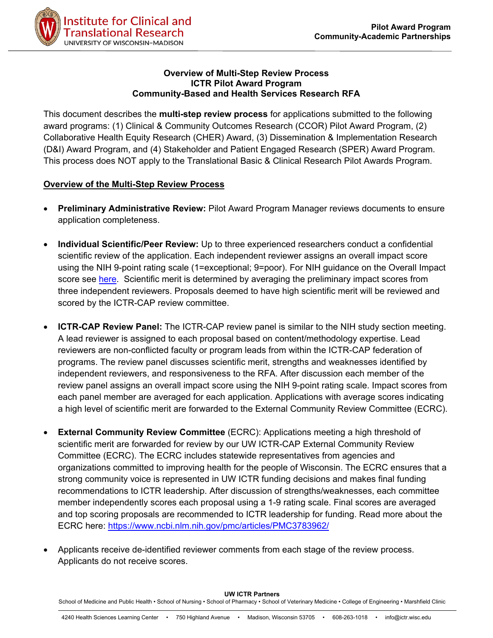

#### **Overview of Multi-Step Review Process ICTR Pilot Award Program Community-Based and Health Services Research RFA**

This document describes the **multi-step review process** for applications submitted to the following award programs: (1) Clinical & Community Outcomes Research (CCOR) Pilot Award Program, (2) Collaborative Health Equity Research (CHER) Award, (3) Dissemination & Implementation Research (D&I) Award Program, and (4) Stakeholder and Patient Engaged Research (SPER) Award Program. This process does NOT apply to the Translational Basic & Clinical Research Pilot Awards Program.

# **Overview of the Multi-Step Review Process**

- **Preliminary Administrative Review:** Pilot Award Program Manager reviews documents to ensure application completeness.
- **Individual Scientific/Peer Review:** Up to three experienced researchers conduct a confidential scientific review of the application. Each independent reviewer assigns an overall impact score using the NIH 9-point rating scale (1=exceptional; 9=poor). For NIH guidance on the Overall Impact score see [here.](https://grants.nih.gov/grants/peer/guidelines_general/scoring_guidance_research.pdf) Scientific merit is determined by averaging the preliminary impact scores from three independent reviewers. Proposals deemed to have high scientific merit will be reviewed and scored by the ICTR-CAP review committee.
- **ICTR-CAP Review Panel:** The ICTR-CAP review panel is similar to the NIH study section meeting. A lead reviewer is assigned to each proposal based on content/methodology expertise. Lead reviewers are non-conflicted faculty or program leads from within the ICTR-CAP federation of programs. The review panel discusses scientific merit, strengths and weaknesses identified by independent reviewers, and responsiveness to the RFA. After discussion each member of the review panel assigns an overall impact score using the NIH 9-point rating scale. Impact scores from each panel member are averaged for each application. Applications with average scores indicating a high level of scientific merit are forwarded to the External Community Review Committee (ECRC).
- **External Community Review Committee** (ECRC): Applications meeting a high threshold of scientific merit are forwarded for review by our UW ICTR-CAP External Community Review Committee (ECRC). The ECRC includes statewide representatives from agencies and organizations committed to improving health for the people of Wisconsin. The ECRC ensures that a strong community voice is represented in UW ICTR funding decisions and makes final funding recommendations to ICTR leadership. After discussion of strengths/weaknesses, each committee member independently scores each proposal using a 1-9 rating scale. Final scores are averaged and top scoring proposals are recommended to ICTR leadership for funding. Read more about the ECRC here:<https://www.ncbi.nlm.nih.gov/pmc/articles/PMC3783962/>
- Applicants receive de-identified reviewer comments from each stage of the review process. Applicants do not receive scores.

**UW ICTR Partners**

School of Medicine and Public Health • School of Nursing • School of Pharmacy • School of Veterinary Medicine • College of Engineering • Marshfield Clinic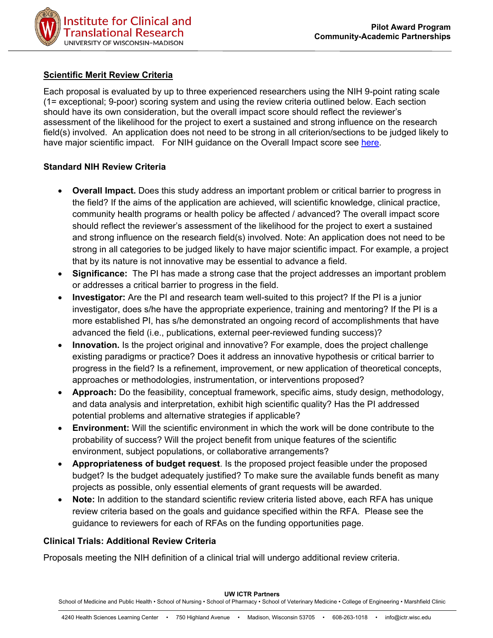

### **Scientific Merit Review Criteria**

Each proposal is evaluated by up to three experienced researchers using the NIH 9-point rating scale (1= exceptional; 9-poor) scoring system and using the review criteria outlined below. Each section should have its own consideration, but the overall impact score should reflect the reviewer's assessment of the likelihood for the project to exert a sustained and strong influence on the research field(s) involved. An application does not need to be strong in all criterion/sections to be judged likely to have major scientific impact. For NIH guidance on the Overall Impact score see [here.](https://grants.nih.gov/grants/peer/guidelines_general/scoring_guidance_research.pdf)

#### **Standard NIH Review Criteria**

- **Overall Impact.** Does this study address an important problem or critical barrier to progress in the field? If the aims of the application are achieved, will scientific knowledge, clinical practice, community health programs or health policy be affected / advanced? The overall impact score should reflect the reviewer's assessment of the likelihood for the project to exert a sustained and strong influence on the research field(s) involved. Note: An application does not need to be strong in all categories to be judged likely to have major scientific impact. For example, a project that by its nature is not innovative may be essential to advance a field.
- **Significance:** The PI has made a strong case that the project addresses an important problem or addresses a critical barrier to progress in the field.
- **Investigator:** Are the PI and research team well-suited to this project? If the PI is a junior investigator, does s/he have the appropriate experience, training and mentoring? If the PI is a more established PI, has s/he demonstrated an ongoing record of accomplishments that have advanced the field (i.e., publications, external peer-reviewed funding success)?
- **Innovation.** Is the project original and innovative? For example, does the project challenge existing paradigms or practice? Does it address an innovative hypothesis or critical barrier to progress in the field? Is a refinement, improvement, or new application of theoretical concepts, approaches or methodologies, instrumentation, or interventions proposed?
- **Approach:** Do the feasibility, conceptual framework, specific aims, study design, methodology, and data analysis and interpretation, exhibit high scientific quality? Has the PI addressed potential problems and alternative strategies if applicable?
- **Environment:** Will the scientific environment in which the work will be done contribute to the probability of success? Will the project benefit from unique features of the scientific environment, subject populations, or collaborative arrangements?
- **Appropriateness of budget request**. Is the proposed project feasible under the proposed budget? Is the budget adequately justified? To make sure the available funds benefit as many projects as possible, only essential elements of grant requests will be awarded.
- **Note:** In addition to the standard scientific review criteria listed above, each RFA has unique review criteria based on the goals and guidance specified within the RFA. Please see the guidance to reviewers for each of RFAs on the funding opportunities page.

## **Clinical Trials: Additional Review Criteria**

Proposals meeting the NIH definition of a clinical trial will undergo additional review criteria.

**UW ICTR Partners**